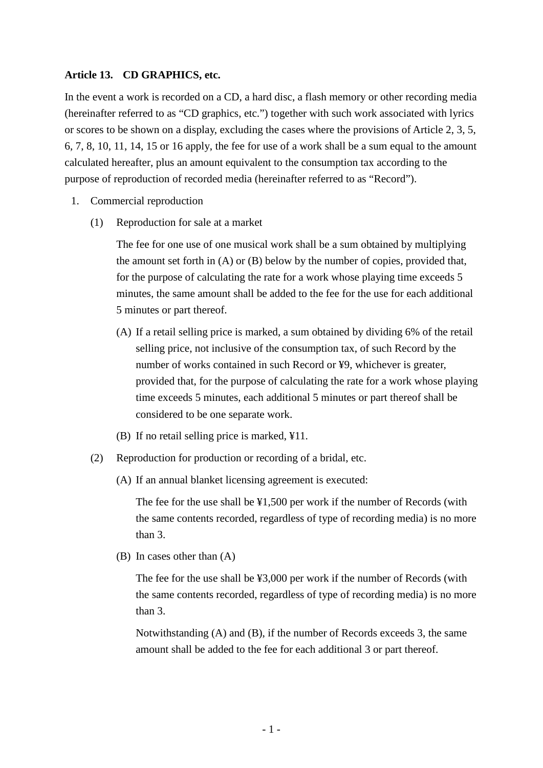### **Article 13. CD GRAPHICS, etc.**

In the event a work is recorded on a CD, a hard disc, a flash memory or other recording media (hereinafter referred to as "CD graphics, etc.") together with such work associated with lyrics or scores to be shown on a display, excluding the cases where the provisions of Article 2, 3, 5, 6, 7, 8, 10, 11, 14, 15 or 16 apply, the fee for use of a work shall be a sum equal to the amount calculated hereafter, plus an amount equivalent to the consumption tax according to the purpose of reproduction of recorded media (hereinafter referred to as "Record").

- 1. Commercial reproduction
	- (1) Reproduction for sale at a market

The fee for one use of one musical work shall be a sum obtained by multiplying the amount set forth in (A) or (B) below by the number of copies, provided that, for the purpose of calculating the rate for a work whose playing time exceeds 5 minutes, the same amount shall be added to the fee for the use for each additional 5 minutes or part thereof.

- (A) If a retail selling price is marked, a sum obtained by dividing 6% of the retail selling price, not inclusive of the consumption tax, of such Record by the number of works contained in such Record or ¥9, whichever is greater, provided that, for the purpose of calculating the rate for a work whose playing time exceeds 5 minutes, each additional 5 minutes or part thereof shall be considered to be one separate work.
- (B) If no retail selling price is marked, ¥11.
- (2) Reproduction for production or recording of a bridal, etc.
	- (A) If an annual blanket licensing agreement is executed:

The fee for the use shall be ¥1,500 per work if the number of Records (with the same contents recorded, regardless of type of recording media) is no more than 3.

(B) In cases other than (A)

The fee for the use shall be ¥3,000 per work if the number of Records (with the same contents recorded, regardless of type of recording media) is no more than 3.

Notwithstanding (A) and (B), if the number of Records exceeds 3, the same amount shall be added to the fee for each additional 3 or part thereof.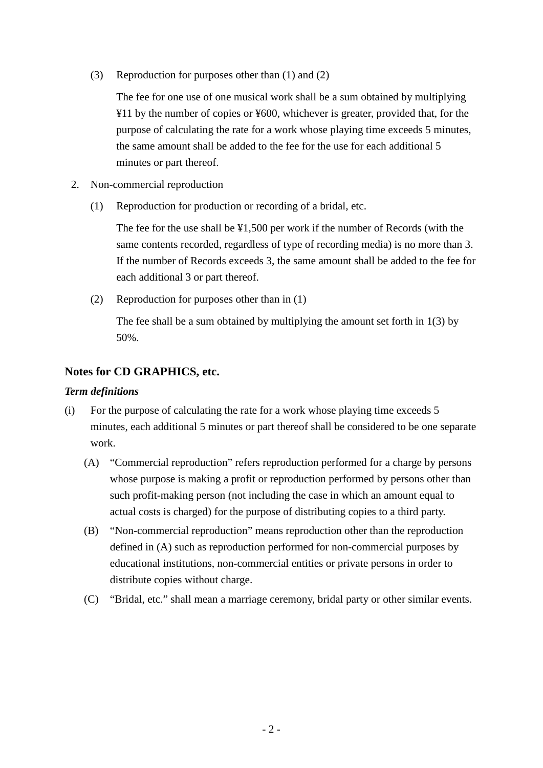(3) Reproduction for purposes other than (1) and (2)

The fee for one use of one musical work shall be a sum obtained by multiplying ¥11 by the number of copies or ¥600, whichever is greater, provided that, for the purpose of calculating the rate for a work whose playing time exceeds 5 minutes, the same amount shall be added to the fee for the use for each additional 5 minutes or part thereof.

- 2. Non-commercial reproduction
	- (1) Reproduction for production or recording of a bridal, etc.

The fee for the use shall be ¥1,500 per work if the number of Records (with the same contents recorded, regardless of type of recording media) is no more than 3. If the number of Records exceeds 3, the same amount shall be added to the fee for each additional 3 or part thereof.

(2) Reproduction for purposes other than in (1)

The fee shall be a sum obtained by multiplying the amount set forth in 1(3) by 50%.

# **Notes for CD GRAPHICS, etc.**

## *Term definitions*

- (i) For the purpose of calculating the rate for a work whose playing time exceeds 5 minutes, each additional 5 minutes or part thereof shall be considered to be one separate work.
	- (A) "Commercial reproduction" refers reproduction performed for a charge by persons whose purpose is making a profit or reproduction performed by persons other than such profit-making person (not including the case in which an amount equal to actual costs is charged) for the purpose of distributing copies to a third party.
	- (B) "Non-commercial reproduction" means reproduction other than the reproduction defined in (A) such as reproduction performed for non-commercial purposes by educational institutions, non-commercial entities or private persons in order to distribute copies without charge.
	- (C) "Bridal, etc." shall mean a marriage ceremony, bridal party or other similar events.